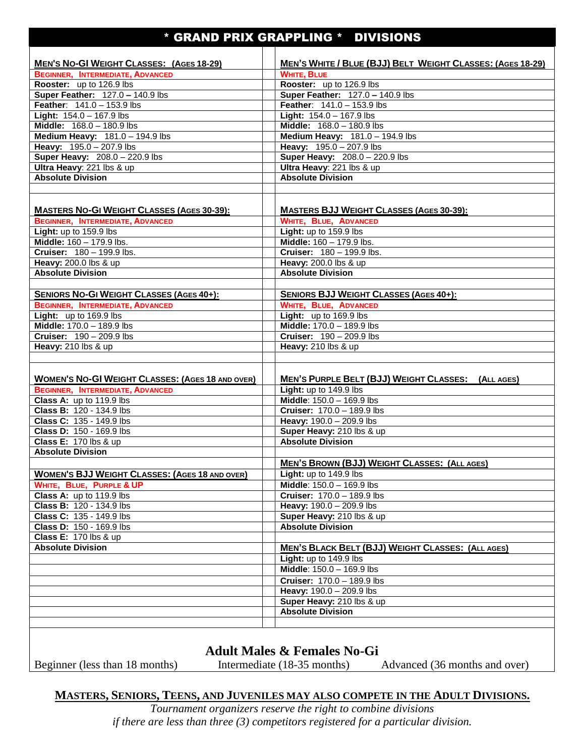## \* GRAND PRIX GRAPPLING \* DIVISIONS

| <b>MEN'S NO-GI WEIGHT CLASSES: (AGES 18-29)</b>         | MEN'S WHITE / BLUE (BJJ) BELT WEIGHT CLASSES: (AGES 18-29) |
|---------------------------------------------------------|------------------------------------------------------------|
| <b>BEGINNER, INTERMEDIATE, ADVANCED</b>                 | <b>WHITE, BLUE</b>                                         |
| Rooster: up to 126.9 lbs                                | Rooster: up to 126.9 lbs                                   |
| Super Feather: 127.0 - 140.9 lbs                        | Super Feather: 127.0 - 140.9 lbs                           |
| Feather: 141.0 - 153.9 lbs                              | Feather: 141.0 - 153.9 lbs                                 |
| <b>Light:</b> $154.0 - 167.9$ lbs                       | <b>Light:</b> $154.0 - 167.9$ lbs                          |
| Middle: 168.0 - 180.9 lbs                               | Middle: 168.0 - 180.9 lbs                                  |
| Medium Heavy: 181.0 - 194.9 lbs                         | Medium Heavy: 181.0 - 194.9 lbs                            |
| Heavy: 195.0 - 207.9 lbs                                | Heavy: 195.0 - 207.9 lbs                                   |
| Super Heavy: 208.0 - 220.9 lbs                          | Super Heavy: 208.0 - 220.9 lbs                             |
| Ultra Heavy: 221 lbs & up                               | Ultra Heavy: 221 lbs & up                                  |
| <b>Absolute Division</b>                                | <b>Absolute Division</b>                                   |
|                                                         |                                                            |
|                                                         |                                                            |
|                                                         |                                                            |
| <b>MASTERS NO-GI WEIGHT CLASSES (AGES 30-39):</b>       | <b>MASTERS BJJ WEIGHT CLASSES (AGES 30-39):</b>            |
| <b>BEGINNER, INTERMEDIATE, ADVANCED</b>                 | <b>WHITE, BLUE, ADVANCED</b>                               |
| Light: up to 159.9 lbs                                  | Light: up to 159.9 lbs                                     |
| Middle: 160 - 179.9 lbs.                                | Middle: 160 - 179.9 lbs.                                   |
| <b>Cruiser: 180 - 199.9 lbs.</b>                        | Cruiser: 180 - 199.9 lbs.                                  |
| Heavy: 200.0 lbs & up                                   | Heavy: 200.0 lbs & up                                      |
| <b>Absolute Division</b>                                | <b>Absolute Division</b>                                   |
|                                                         |                                                            |
| <b>SENIORS NO-GI WEIGHT CLASSES (AGES 40+):</b>         | <b>SENIORS BJJ WEIGHT CLASSES (AGES 40+):</b>              |
| <b>BEGINNER, INTERMEDIATE, ADVANCED</b>                 | <b>WHITE, BLUE, ADVANCED</b>                               |
| Light: up to 169.9 lbs                                  | Light: up to 169.9 lbs                                     |
| Middle: 170.0 - 189.9 lbs                               | Middle: 170.0 - 189.9 lbs                                  |
| <b>Cruiser: 190 - 209.9 lbs</b>                         | <b>Cruiser: 190 - 209.9 lbs</b>                            |
| Heavy: 210 lbs & up                                     | Heavy: 210 lbs & up                                        |
|                                                         |                                                            |
|                                                         |                                                            |
| <b>WOMEN'S NO-GI WEIGHT CLASSES: (AGES 18 AND OVER)</b> |                                                            |
|                                                         | <b>MEN'S PURPLE BELT (BJJ) WEIGHT CLASSES: (ALL AGES)</b>  |
| <b>BEGINNER, INTERMEDIATE, ADVANCED</b>                 | Light: up to 149.9 lbs                                     |
| Class A: up to 119.9 lbs                                | Middle: 150.0 - 169.9 lbs                                  |
| Class B: 120 - 134.9 lbs                                | <b>Cruiser: 170.0 - 189.9 lbs</b>                          |
| Class C: 135 - 149.9 lbs                                | Heavy: 190.0 - 209.9 lbs                                   |
| <b>Class D: 150 - 169.9 lbs</b>                         | Super Heavy: 210 lbs & up                                  |
| <b>Class E: 170 lbs &amp; up</b>                        | <b>Absolute Division</b>                                   |
| <b>Absolute Division</b>                                |                                                            |
|                                                         | <b>MEN'S BROWN (BJJ) WEIGHT CLASSES: (ALL AGES)</b>        |
| <b>WOMEN'S BJJ WEIGHT CLASSES: (AGES 18 AND OVER)</b>   | Light: up to 149.9 lbs                                     |
| WHITE, BLUE, PURPLE & UP                                | Middle: 150.0 - 169.9 lbs                                  |
| Class A: up to 119.9 lbs                                | <b>Cruiser: 170.0 - 189.9 lbs</b>                          |
| Class B: 120 - 134.9 lbs                                | Heavy: 190.0 - 209.9 lbs                                   |
| Class C: 135 - 149.9 lbs                                | Super Heavy: 210 lbs & up                                  |
| Class D: 150 - 169.9 lbs                                | <b>Absolute Division</b>                                   |
| <b>Class E: 170 lbs &amp; up</b>                        |                                                            |
| <b>Absolute Division</b>                                | <b>MEN'S BLACK BELT (BJJ) WEIGHT CLASSES: (ALL AGES)</b>   |
|                                                         | Light: up to 149.9 lbs                                     |
|                                                         | Middle: 150.0 - 169.9 lbs                                  |
|                                                         | Cruiser: 170.0 - 189.9 lbs                                 |
|                                                         | Heavy: 190.0 - 209.9 lbs                                   |
|                                                         | Super Heavy: 210 lbs & up                                  |
|                                                         | <b>Absolute Division</b>                                   |
|                                                         |                                                            |
|                                                         |                                                            |
|                                                         |                                                            |
|                                                         | $1 - 11$ M. I. $0$ D.  I. N. $\Omega$                      |

**Adult Males & Females No-Gi**

Beginner (less than 18 months) Intermediate (18-35 months) Advanced (36 months and over)

## **MASTERS, SENIORS, TEENS, AND JUVENILES MAY ALSO COMPETE IN THE ADULT DIVISIONS.**

*Tournament organizers reserve the right to combine divisions if there are less than three (3) competitors registered for a particular division.*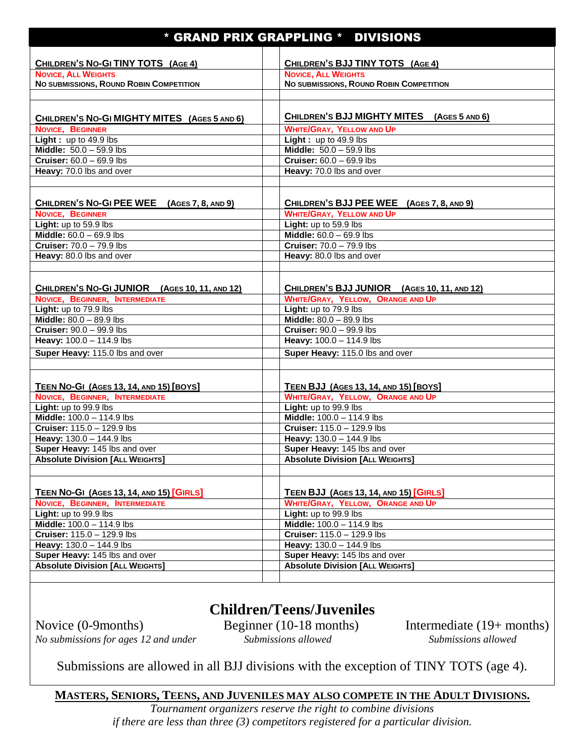| * GRAND PRIX GRAPPLING * DIVISIONS                            |                                                                 |  |
|---------------------------------------------------------------|-----------------------------------------------------------------|--|
|                                                               |                                                                 |  |
| CHILDREN'S NO-GI TINY TOTS (AGE 4)                            | CHILDREN'S BJJ TINY TOTS (AGE 4)                                |  |
| <b>NOVICE, ALL WEIGHTS</b>                                    | <b>NOVICE, ALL WEIGHTS</b>                                      |  |
| NO SUBMISSIONS, ROUND ROBIN COMPETITION                       | NO SUBMISSIONS, ROUND ROBIN COMPETITION                         |  |
|                                                               |                                                                 |  |
|                                                               |                                                                 |  |
| CHILDREN'S NO-GI MIGHTY MITES (AGES 5 AND 6)                  | CHILDREN'S BJJ MIGHTY MITES (AGES 5 AND 6)                      |  |
| NOVICE, BEGINNER                                              | <b>WHITE/GRAY, YELLOW AND UP</b>                                |  |
| <b>Light</b> : up to $49.9$ lbs                               | Light: up to $49.9$ lbs                                         |  |
| Middle: $50.0 - 59.9$ lbs                                     | Middle: $50.0 - 59.9$ lbs                                       |  |
| <b>Cruiser:</b> $60.0 - 69.9$ lbs                             | <b>Cruiser: 60.0 - 69.9 lbs</b>                                 |  |
| Heavy: 70.0 lbs and over                                      | Heavy: 70.0 lbs and over                                        |  |
|                                                               |                                                                 |  |
|                                                               |                                                                 |  |
| CHILDREN'S NO-GI PEE WEE (AGES 7, 8, AND 9)                   | CHILDREN'S BJJ PEE WEE (AGES 7, 8, AND 9)                       |  |
| NOVICE, BEGINNER                                              | <b>WHITE/GRAY, YELLOW AND UP</b>                                |  |
| Light: up to 59.9 lbs                                         | Light: up to 59.9 lbs                                           |  |
| Middle: $60.0 - 69.9$ lbs<br>Cruiser: 70.0 - 79.9 lbs         | Middle: 60.0 - 69.9 lbs<br><b>Cruiser: 70.0 - 79.9 lbs</b>      |  |
|                                                               |                                                                 |  |
| Heavy: 80.0 lbs and over                                      | Heavy: 80.0 lbs and over                                        |  |
|                                                               |                                                                 |  |
| CHILDREN'S NO-GI JUNIOR (AGES 10, 11, AND 12)                 | CHILDREN'S BJJ JUNIOR (AGES 10, 11, AND 12)                     |  |
| NOVICE, BEGINNER, INTERMEDIATE                                | <b>WHITE/GRAY, YELLOW, ORANGE AND UP</b>                        |  |
| Light: up to 79.9 lbs                                         | Light: up to 79.9 lbs                                           |  |
| Middle: 80.0 - 89.9 lbs                                       | Middle: 80.0 - 89.9 lbs                                         |  |
| Cruiser: 90.0 - 99.9 lbs                                      | <b>Cruiser: 90.0 - 99.9 lbs</b>                                 |  |
| Heavy: 100.0 - 114.9 lbs                                      | Heavy: 100.0 - 114.9 lbs                                        |  |
| Super Heavy: 115.0 lbs and over                               | Super Heavy: 115.0 lbs and over                                 |  |
|                                                               |                                                                 |  |
|                                                               |                                                                 |  |
| <b>TEEN NO-GI (AGES 13, 14, AND 15) [BOYS]</b>                | <b>TEEN BJJ (AGES 13, 14, AND 15) [BOYS]</b>                    |  |
| NOVICE, BEGINNER, INTERMEDIATE                                | <b>WHITE/GRAY, YELLOW, ORANGE AND UP</b>                        |  |
| Light: up to 99.9 lbs                                         | Light: up to 99.9 lbs                                           |  |
| Middle: 100.0 - 114.9 lbs                                     | Middle: 100.0 - 114.9 lbs                                       |  |
| Cruiser: 115.0 - 129.9 lbs                                    | Cruiser: 115.0 - 129.9 lbs                                      |  |
| Heavy: 130.0 - 144.9 lbs                                      | Heavy: 130.0 - 144.9 lbs                                        |  |
| Super Heavy: 145 lbs and over                                 | Super Heavy: 145 lbs and over                                   |  |
| <b>Absolute Division [ALL WEIGHTS]</b>                        | <b>Absolute Division [ALL WEIGHTS]</b>                          |  |
|                                                               |                                                                 |  |
|                                                               |                                                                 |  |
| <b>TEEN NO-GI (AGES 13, 14, AND 15) [GIRLS]</b>               | TEEN BJJ (AGES 13, 14, AND 15) [GIRLS]                          |  |
| NOVICE, BEGINNER, INTERMEDIATE                                | <b>WHITE/GRAY, YELLOW, ORANGE AND UP</b>                        |  |
| Light: up to 99.9 lbs                                         | Light: up to 99.9 lbs                                           |  |
| Middle: 100.0 - 114.9 lbs                                     | Middle: 100.0 - 114.9 lbs                                       |  |
| <b>Cruiser: 115.0 - 129.9 lbs</b><br>Heavy: 130.0 - 144.9 lbs | <b>Cruiser:</b> $115.0 - 129.9$ lbs<br>Heavy: 130.0 - 144.9 lbs |  |
| Super Heavy: 145 lbs and over                                 | Super Heavy: 145 lbs and over                                   |  |
| <b>Absolute Division [ALL WEIGHTS]</b>                        | <b>Absolute Division [ALL WEIGHTS]</b>                          |  |
|                                                               |                                                                 |  |

## **Children/Teens/Juveniles**

Novice (0-9months) Beginner (10-18 months) Intermediate (19+ months) *No submissions for ages 12 and under Submissions allowed Submissions allowed*

Submissions are allowed in all BJJ divisions with the exception of TINY TOTS (age 4).

**MASTERS, SENIORS, TEENS, AND JUVENILES MAY ALSO COMPETE IN THE ADULT DIVISIONS.**

*Tournament organizers reserve the right to combine divisions if there are less than three (3) competitors registered for a particular division.*